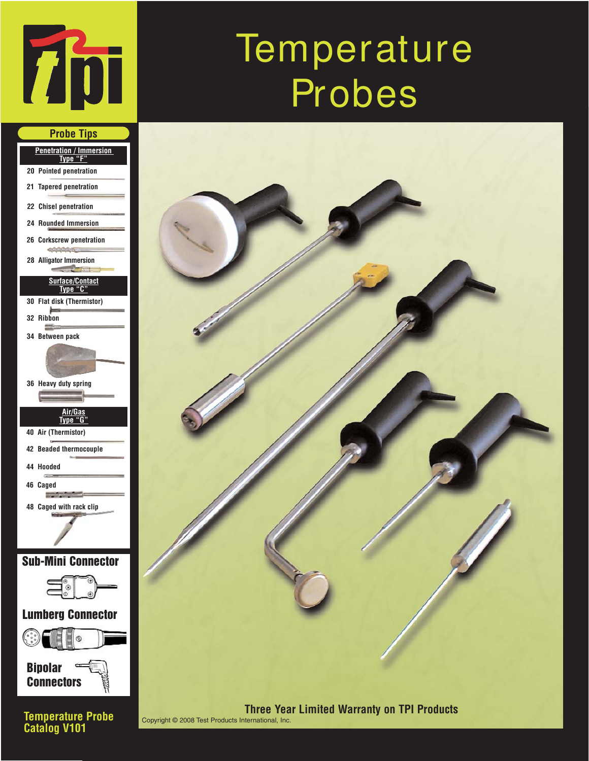

**Probe Tips**

# **Temperature** Probes



**Penetration / Immersion Type "F" 20 Pointed penetration 21 Tapered penetration 22 Chisel penetration 24 Rounded Immersion 26 Corkscrew penetration** exhibitation **28 Alligator Immersion Surface/Contact Type "C" 30 Flat disk (Thermistor) 32 Ribbon Bitte 34 Between pack 36 Heavy duty spring Air/Gas Type "G" 40 Air (Thermistor) 42 Beaded thermocouple 44 Hooded 46 Caged Report Follows 48 Caged with rack clip** Sub-Mini Connector  $\mathbb{Q}$ Lumberg Connector

Bipolar **Connectors** 

**Temperature Probe Catalog V101**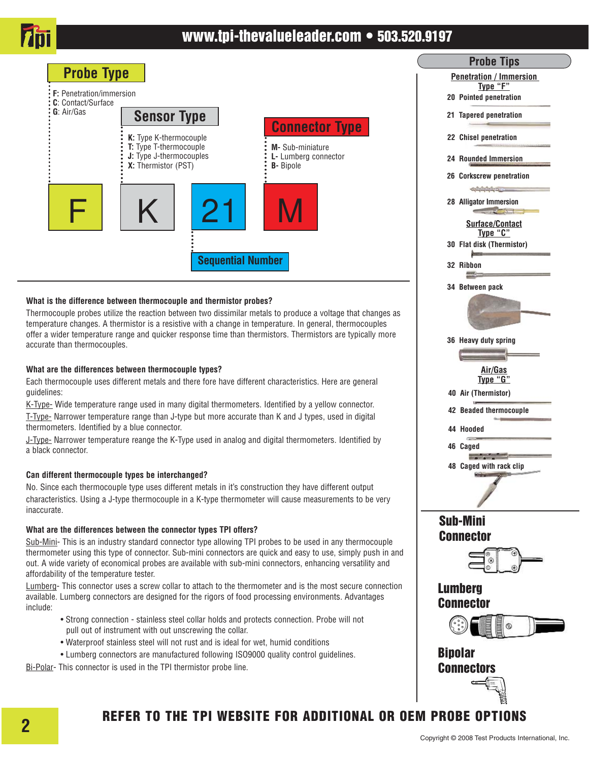

## www.tpi-thevalueleader.com • 503.520.9197



#### **What is the difference between thermocouple and thermistor probes?**

Thermocouple probes utilize the reaction between two dissimilar metals to produce a voltage that changes as temperature changes. A thermistor is a resistive with a change in temperature. In general, thermocouples offer a wider temperature range and quicker response time than thermistors. Thermistors are typically more accurate than thermocouples.

**Sequential Number**

#### **What are the differences between thermocouple types?**

Each thermocouple uses different metals and there fore have different characteristics. Here are general guidelines:

K-Type- Wide temperature range used in many digital thermometers. Identified by a yellow connector. T-Type- Narrower temperature range than J-type but more accurate than K and J types, used in digital thermometers. Identified by a blue connector.

J-Type- Narrower temperature reange the K-Type used in analog and digital thermometers. Identified by a black connector.

#### **Can different thermocouple types be interchanged?**

No. Since each thermocouple type uses different metals in it's construction they have different output characteristics. Using a J-type thermocouple in a K-type thermometer will cause measurements to be very inaccurate.

#### **What are the differences between the connector types TPI offers?**

Sub-Mini- This is an industry standard connector type allowing TPI probes to be used in any thermocouple thermometer using this type of connector. Sub-mini connectors are quick and easy to use, simply push in and out. A wide variety of economical probes are available with sub-mini connectors, enhancing versatility and affordability of the temperature tester.

Lumberg- This connector uses a screw collar to attach to the thermometer and is the most secure connection available. Lumberg connectors are designed for the rigors of food processing environments. Advantages include:

- Strong connection stainless steel collar holds and protects connection. Probe will not pull out of instrument with out unscrewing the collar.
- Waterproof stainless steel will not rust and is ideal for wet, humid conditions
- Lumberg connectors are manufactured following ISO9000 quality control guidelines.

Bi-Polar- This connector is used in the TPI thermistor probe line.

## **Probe Tips Penetration / Immersion Type "F" 20 Pointed penetration 21 Tapered penetration 22 Chisel penetration 24 Rounded Immersion 26 Corkscrew penetration** edulululus. **28 Alligator Immersion Surface/Contact Type "C" 30 Flat disk (Thermistor) 32 Ribbon** 靈 **34 Between pack 36 Heavy duty spring Air/Gas Type "G" 40 Air (Thermistor) 42 Beaded thermocouple 44 Hooded 46 Caged Service Control 48 Caged with rack clip** Sub-Mini **Connector**

#### Lumberg **Connector**



Bipolar Connectors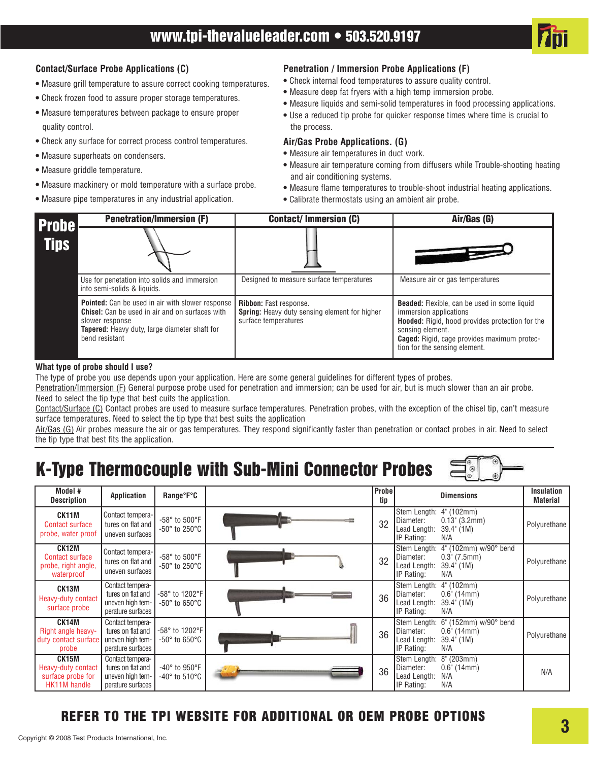

#### **Contact/Surface Probe Applications (C)**

- **•** Measure grill temperature to assure correct cooking temperatures.
- Check frozen food to assure proper storage temperatures.
- Measure temperatures between package to ensure proper quality control.
- Check any surface for correct process control temperatures.
- Measure superheats on condensers.
- Measure griddle temperature.
- Measure mackinery or mold temperature with a surface probe.
- Measure pipe temperatures in any industrial application.

#### **Penetration / Immersion Probe Applications (F)**

- **•** Check internal food temperatures to assure quality control.
- Measure deep fat fryers with a high temp immersion probe.
- Measure liquids and semi-solid temperatures in food processing applications.
- **•** Use a reduced tip probe for quicker response times where time is crucial to the process.

#### **Air/Gas Probe Applications. (G)**

- Measure air temperatures in duct work.
- **•** Measure air temperature coming from diffusers while Trouble-shooting heating and air conditioning systems.
- **•** Measure flame temperatures to trouble-shoot industrial heating applications.
- **•** Calibrate thermostats using an ambient air probe.

| <b>Probe</b> | <b>Penetration/Immersion (F)</b>                                                                                                                                                                 | <b>Contact/Immersion (C)</b>                                                                           | Air/Gas (G)                                                                                                                                                                                                                                 |  |
|--------------|--------------------------------------------------------------------------------------------------------------------------------------------------------------------------------------------------|--------------------------------------------------------------------------------------------------------|---------------------------------------------------------------------------------------------------------------------------------------------------------------------------------------------------------------------------------------------|--|
| <b>Tips</b>  |                                                                                                                                                                                                  |                                                                                                        |                                                                                                                                                                                                                                             |  |
|              | Use for penetation into solids and immersion<br>into semi-solids & liquids.                                                                                                                      | Designed to measure surface temperatures                                                               | Measure air or gas temperatures                                                                                                                                                                                                             |  |
|              | Pointed: Can be used in air with slower response<br><b>Chisel:</b> Can be used in air and on surfaces with<br>slower response<br>Tapered: Heavy duty, large diameter shaft for<br>bend resistant | Ribbon: Fast response.<br><b>Spring:</b> Heavy duty sensing element for higher<br>surface temperatures | <b>Beaded:</b> Flexible, can be used in some liquid<br>immersion applications<br>Hooded: Rigid, hood provides protection for the<br>sensing element.<br><b>Caged:</b> Rigid, cage provides maximum protec-<br>tion for the sensing element. |  |

#### **What type of probe should I use?**

The type of probe you use depends upon your application. Here are some general guidelines for different types of probes. Penetration/Immersion (F) General purpose probe used for penetration and immersion; can be used for air, but is much slower than an air probe. Need to select the tip type that best cuits the application.

Contact/Surface (C) Contact probes are used to measure surface temperatures. Penetration probes, with the exception of the chisel tip, can't measure surface temperatures. Need to select the tip type that best suits the application

Air/Gas (G) Air probes measure the air or gas temperatures. They respond significantly faster than penetration or contact probes in air. Need to select the tip type that best fits the application.

# K-Type Thermocouple with Sub-Mini Connector Probes

| Model #<br><b>Description</b>                                        | <b>Application</b>                                                             | Range°F°C                                                     | Probe<br>tip | <b>Dimensions</b>                                                                                                                       | <b>Insulation</b><br><b>Material</b> |
|----------------------------------------------------------------------|--------------------------------------------------------------------------------|---------------------------------------------------------------|--------------|-----------------------------------------------------------------------------------------------------------------------------------------|--------------------------------------|
| CK11M<br>Contact surface<br>probe, water proof                       | Contact tempera-<br>tures on flat and<br>uneven surfaces                       | $-58^\circ$ to $500^\circ$ F<br>$-50^\circ$ to 250 $^\circ$ C | 32           | Stem Length: 4" (102mm)<br>Diameter:<br>$0.13$ " (3.2mm)<br>Lead Length:<br>39.4" (1M)<br>IP Rating:<br>N/A                             | Polyurethane                         |
| CK12M<br><b>Contact surface</b><br>probe, right angle,<br>waterproof | Contact tempera-<br>tures on flat and<br>uneven surfaces                       | -58° to 500°F<br>$-50^\circ$ to 250 $^\circ$ C                | 32           | 4" (102mm) w/90° bend<br>Stem Length:<br>Diameter:<br>$0.3^{\circ}$ (7.5mm)<br>Lead Length:<br>$39.4^{\circ}$ (1M)<br>IP Rating:<br>N/A | Polyurethane                         |
| CK13M<br>Heavy-duty contact<br>surface probe                         | Contact tempera-<br>tures on flat and<br>uneven high tem-<br>perature surfaces | -58° to 1202°F<br>$-50^\circ$ to 650 $^\circ$ C               | 36           | $4^{\circ}$ (102mm)<br>Stem Length:<br>Diameter:<br>$0.6$ " (14mm)<br>Lead Length:<br>39.4" (1M)<br>IP Rating:<br>N/A                   | Polyurethane                         |
| CK14M<br>Right angle heavy-<br>duty contact surface<br>probe         | Contact tempera-<br>tures on flat and<br>uneven high tem-<br>perature surfaces | -58° to 1202°F<br>$-50^\circ$ to 650°C                        | 36           | 6" (152mm) w/90° bend<br>Stem Length:<br>Diameter:<br>$0.6$ " (14mm)<br>Lead Length:<br>39.4" (1M)<br>IP Rating:<br>N/A                 | Polyurethane                         |
| CK15M<br>Heavy-duty contact<br>surface probe for<br>HK11M handle     | Contact tempera-<br>tures on flat and<br>uneven high tem-<br>perature surfaces | $-40^\circ$ to 950°F<br>-40° to 510°C                         | 36           | 8" (203mm)<br>Stem Length:<br>Diameter:<br>$0.6$ " (14mm)<br>N/A<br>Lead Length:<br>IP Rating:<br>N/A                                   | N/A                                  |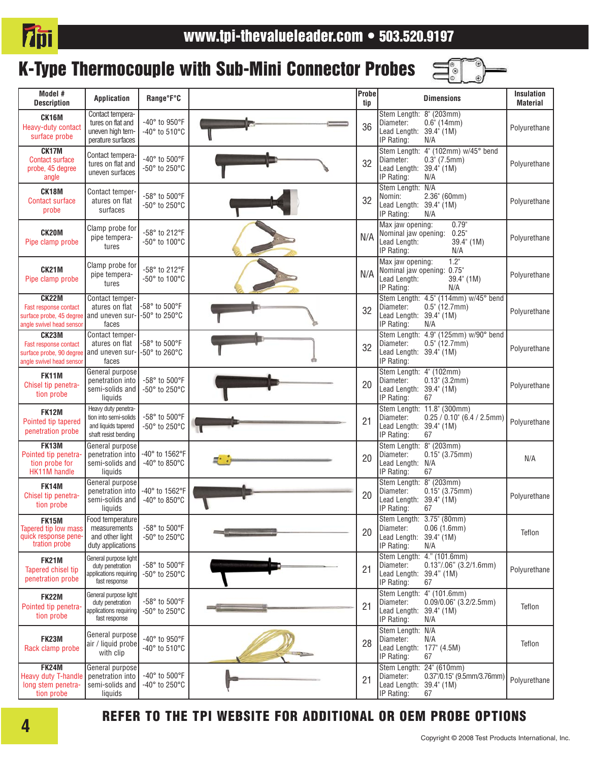

# K-Type Thermocouple with Sub-Mini Connector Probes



| Model #<br><b>Description</b>                                                                 | <b>Application</b>                                                                          | Range°F°C                                     | Probe<br>tip | <b>Dimensions</b>                                                                                                               | Insulation<br><b>Material</b> |
|-----------------------------------------------------------------------------------------------|---------------------------------------------------------------------------------------------|-----------------------------------------------|--------------|---------------------------------------------------------------------------------------------------------------------------------|-------------------------------|
| <b>CK16M</b><br>Heavy-duty contact<br>surface probe                                           | Contact tempera-<br>tures on flat and<br>uneven high tem-<br>perature surfaces              | -40° to 950°F<br>-40° to 510°C                | 36           | Stem Length: 8" (203mm)<br>$0.6$ " (14mm)<br>Diameter:<br>Lead Length: 39.4" (1M)<br>IP Rating:<br>N/A                          | Polyurethane                  |
| CK17M<br><b>Contact surface</b><br>probe, 45 degree<br>angle                                  | Contact tempera-<br>tures on flat and<br>uneven surfaces                                    | -40° to 500°F<br>-50° to 250°C                | 32           | Stem Length: 4" (102mm) w/45° bend<br>$0.3^{\circ}$ (7.5mm)<br>Diameter:<br>Lead Length: 39.4" (1M)<br>IP Rating:<br>N/A        | Polyurethane                  |
| CK18M<br><b>Contact surface</b><br>probe                                                      | Contact temper-<br>atures on flat<br>surfaces                                               | -58° to 500°F<br>-50° to 250°C                | 32           | Stem Length: N/A<br>Nomin:<br>$2.36$ " (60mm)<br>Lead Length: 39.4" (1M)<br>IP Rating:<br>N/A                                   | Polyurethane                  |
| <b>CK20M</b><br>Pipe clamp probe                                                              | Clamp probe for<br>pipe tempera-<br>tures                                                   | -58° to 212°F<br>-50° to 100°C                | N/A          | 0.79''<br>Max jaw opening:<br>0.25<br>Nominal jaw opening:<br>Lead Length:<br>39.4" (1M)<br>IP Rating:<br>N/A                   | Polyurethane                  |
| CK21M<br>Pipe clamp probe                                                                     | Clamp probe for<br>pipe tempera-<br>tures                                                   | -58° to 212°F<br>-50° to 100°C                | N/A          | 1.2"<br>Max jaw opening:<br>Nominal jaw opening: 0.75"<br>Lead Length:<br>$39.4^{\circ}$ (1M)<br>IP Rating:<br>N/A              | Polyurethane                  |
| <b>CK22M</b><br>Fast response contact<br>surface probe, 45 degree<br>angle swivel head sensor | Contact temper-<br>atures on flat<br>and uneven sur-<br>faces                               | -58° to 500°F<br>-50° to 250°C                | 32           | Stem Length: 4.5" (114mm) w/45° bend<br>$0.5^{\circ}$ (12.7mm)<br>Diameter:<br>Lead Length: 39.4" (1M)<br>IP Rating:<br>N/A     | Polyurethane                  |
| <b>CK23M</b><br>Fast response contact<br>surface probe, 90 degree<br>angle swivel head sensor | Contact temper-<br>atures on flat<br>and uneven sur-<br>faces                               | -58° to 500°F<br>-50° to 260°C                | 32           | Stem Length: 4.9" (125mm) w/90° bend<br>$0.5^{\circ}$ (12.7mm)<br>Diameter:<br>Lead Length: 39.4" (1M)<br>IP Rating:            | Polyurethane                  |
| <b>FK11M</b><br>Chisel tip penetra-<br>tion probe                                             | General purpose<br>penetration into<br>semi-solids and<br>liquids                           | -58° to 500°F<br>-50° to 250°C                | 20           | Stem Length: 4" (102mm)<br>Diameter:<br>$0.13$ " (3.2mm)<br>Lead Length: 39.4" (1M)<br>IP Rating:<br>67                         | Polyurethane                  |
| <b>FK12M</b><br>Pointed tip tapered<br>penetration probe                                      | Heavy duty penetra-<br>tion into semi-solids<br>and liquids tapered<br>shaft resist bending | -58° to 500°F<br>-50° to 250°C                | 21           | Stem Length: 11.8" (300mm)<br>Diameter:<br>$0.25 / 0.10$ " (6.4 / 2.5mm)<br>Lead Length: 39.4" (1M)<br>IP Rating:<br>67         | Polyurethane                  |
| <b>FK13M</b><br>Pointed tip penetra-<br>tion probe for<br>HK11M handle                        | General purpose<br>penetration into<br>semi-solids and<br>liquids                           | -40° to 1562°F<br>-40° to 850°C               | 20           | Stem Length: 8" (203mm)<br>Diameter:<br>$0.15$ " (3.75mm)<br>Lead Length: N/A<br>IP Rating:<br>67                               | N/A                           |
| <b>FK14M</b><br>Chisel tip penetra-<br>tion probe                                             | General purpose<br>penetration into<br>semi-solids and<br>liquids                           | -40° to 1562°F<br>-40° to 850°C               | 20           | Stem Length: 8" (203mm)<br>Diameter:<br>$0.15$ " (3.75mm)<br>Lead Length: 39.4" (1M)<br>IP Rating:<br>67                        | Polyurethane                  |
| <b>FK15M</b><br>Tapered tip low mass<br>quick response pene-<br>tration probe                 | Food temperature<br>measurements<br>and other light<br>duty applications                    | -58° to 500°F<br>-50° to 250°C                | 20           | Stem Length: 3.75" (80mm)<br>Diameter:<br>0.06(1.6mm)<br>Lead Length: 39.4" (1M)<br>IP Rating:<br>N/A                           | Teflon                        |
| <b>FK21M</b><br>Tapered chisel tip<br>penetration probe                                       | General purpose light<br>duty penetration<br>applications requiring<br>fast response        | -58° to 500°F<br>-50° to 250°C                | 21           | Stem Length: 4." (101.6mm)<br>$0.13$ "/.06" (3.2/1.6mm)<br>Diameter:<br>Lead Length: 39.4" (1M)<br>IP Rating:<br>67             | Polyurethane                  |
| <b>FK22M</b><br>Pointed tip penetra-<br>tion probe                                            | General purpose light<br>duty penetration<br>applications requiring<br>fast response        | $-58^\circ$ to $500^\circ$ F<br>-50° to 250°C | 21           | Stem Length:<br>$4^{\circ}$ (101.6mm)<br>$0.09/0.06$ " (3.2/2.5mm)<br>Diameter:<br>Lead Length: 39.4" (1M)<br>IP Rating:<br>N/A | Teflon                        |
| <b>FK23M</b><br>Rack clamp probe                                                              | General purpose<br>air / liquid probe<br>with clip                                          | -40° to 950°F<br>-40° to 510°C                | 28           | Stem Length: N/A<br>Diameter:<br>N/A<br>Lead Length: 177" (4.5M)<br>IP Rating:<br>67                                            | Teflon                        |
| <b>FK24M</b><br>Heavy duty T-handle<br>long stem penetra-<br>tion probe                       | General purpose<br>penetration into<br>semi-solids and<br>liquids                           | -40° to 500°F<br>-40° to 250°C                | 21           | Stem Length: 24" (610mm)<br>0.37"/0.15" (9.5mm/3.76mm)<br>Diameter:<br>Lead Length: 39.4" (1M)<br>IP Rating:<br>67              | Polyurethane                  |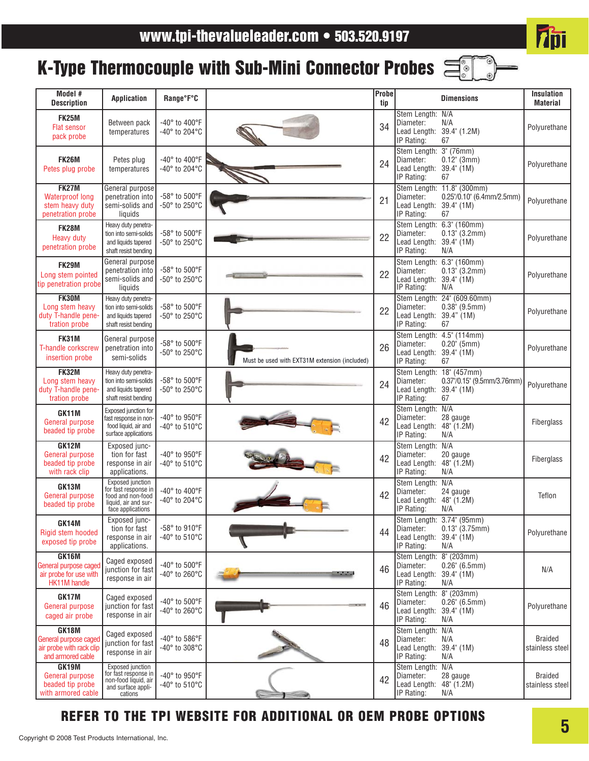# **7pi**

# K-Type Thermocouple with Sub-Mini Connector Probes

| Model #<br><b>Description</b>                                                   | <b>Application</b>                                                                                         | Range°F°C                                       |                                               | <b>Probe</b><br>tip |                                                                              | <b>Dimensions</b>                                                           | <b>Insulation</b><br><b>Material</b> |
|---------------------------------------------------------------------------------|------------------------------------------------------------------------------------------------------------|-------------------------------------------------|-----------------------------------------------|---------------------|------------------------------------------------------------------------------|-----------------------------------------------------------------------------|--------------------------------------|
| <b>FK25M</b><br><b>Flat sensor</b><br>pack probe                                | Between pack<br>temperatures                                                                               | -40° to 400°F<br>$-40^\circ$ to 204 $\degree$ C |                                               | 34                  | Stem Length: N/A<br>Diameter:<br>Lead Length: 39.4" (1.2M)<br>IP Rating:     | N/A<br>67                                                                   | Polyurethane                         |
| <b>FK26M</b><br>Petes plug probe                                                | Petes plug<br>temperatures                                                                                 | -40° to 400°F<br>-40° to 204°C                  |                                               | 24                  | Stem Length: 3" (76mm)<br>Diameter:<br>Lead Length: 39.4" (1M)<br>IP Rating: | $0.12$ " (3mm)<br>67                                                        | Polyurethane                         |
| <b>FK27M</b><br><b>Waterproof long</b><br>stem heavy duty<br>penetration probe  | General purpose<br>penetration into<br>semi-solids and<br>liquids                                          | -58° to 500°F<br>-50° to 250°C                  |                                               | 21                  | Diameter:<br>Lead Length: 39.4" (1M)<br>IP Rating:                           | Stem Length: 11.8" (300mm)<br>0.25"/0.10" (6.4mm/2.5mm)<br>67               | Polyurethane                         |
| <b>FK28M</b><br><b>Heavy duty</b><br>penetration probe                          | Heavy duty penetra-<br>tion into semi-solids<br>and liquids tapered<br>shaft resist bending                | -58° to 500°F<br>-50° to 250°C                  |                                               | 22                  | Diameter:<br>Lead Length:<br>IP Rating:                                      | Stem Length: 6.3" (160mm)<br>$0.13$ " (3.2mm)<br>$39.4^{\circ}$ (1M)<br>N/A | Polyurethane                         |
| <b>FK29M</b><br>Long stem pointed<br>tip penetration probe                      | General purpose<br>penetration into<br>semi-solids and<br>liquids                                          | -58° to 500°F<br>-50° to 250°C                  |                                               | 22                  | Diameter:<br>Lead Length:<br>IP Rating:                                      | Stem Length: 6.3" (160mm)<br>$0.13$ " (3.2mm)<br>$39.4^{\circ}$ (1M)<br>N/A | Polyurethane                         |
| FK30M<br>Long stem heavy<br>duty T-handle pene-<br>tration probe                | Heavy duty penetra-<br>tion into semi-solids<br>and liquids tapered<br>shaft resist bending                | $-58^\circ$ to $500^\circ$ F<br>-50° to 250°C   |                                               | 22                  | Diameter:<br>Lead Length: 39.4" (1M)<br>IP Rating:                           | Stem Length: 24" (609.60mm)<br>$0.38$ " (9.5mm)<br>67                       | Polyurethane                         |
| FK31M<br>T-handle corkscrew<br>insertion probe                                  | General purpose<br>penetration into<br>semi-solids                                                         | -58° to 500°F<br>-50° to 250°C                  | Must be used with EXT31M extension (included) | 26                  | Diameter:<br>Lead Length: 39.4" (1M)<br>IP Rating:                           | Stem Length: 4.5" (114mm)<br>$0.20$ " (5mm)<br>67                           | Polyurethane                         |
| <b>FK32M</b><br>Long stem heavy<br>duty T-handle pene-<br>tration probe         | Heavy duty penetra-<br>tion into semi-solids<br>and liquids tapered<br>shaft resist bending                | -58° to 500°F<br>-50° to 250°C                  |                                               | 24                  | Stem Length: 18" (457mm)<br>Diameter:<br>Lead Length:<br>IP Rating:          | 0.37"/0.15" (9.5mm/3.76mm)<br>39.4" (1M)<br>67                              | Polyurethane                         |
| GK11M<br>General purpose<br>beaded tip probe                                    | Exposed junction for<br>fast response in non-<br>food liquid, air and<br>surface applications              | -40° to 950°F<br>-40° to 510°C                  |                                               | 42                  | Stem Length: N/A<br>Diameter:<br>Lead Length:<br>IP Rating:                  | 28 gauge<br>48" (1.2M)<br>N/A                                               | Fiberglass                           |
| GK12M<br><b>General purpose</b><br>beaded tip probe<br>with rack clip           | Exposed junc-<br>tion for fast<br>response in air<br>applications.                                         | -40° to 950°F<br>-40° to 510°C                  |                                               | 42                  | Stem Length: N/A<br>Diameter:<br>Lead Length: 48" (1.2M)<br>IP Rating:       | 20 gauge<br>N/A                                                             | Fiberglass                           |
| GK13M<br>General purpose<br>beaded tip probe                                    | Exposed junction<br>for fast response in<br>food and non-food<br>liquid, air and sur-<br>face applications | -40° to 400°F<br>-40° to 204°C                  |                                               | 42                  | Stem Length: N/A<br>Diameter:<br>Lead Length:<br>IP Rating:                  | 24 gauge<br>48" (1.2M)<br>N/A                                               | Teflon                               |
| GK14M<br>Rigid stem hooded<br>exposed tip probe                                 | Exposed junc-<br>tion for fast<br>response in air<br>applications.                                         | -58° to 910°F<br>-40° to 510°C                  |                                               | 44                  | Diameter:<br>Lead Length: 39.4" (1M)<br>IP Rating:                           | Stem Length: 3.74" (95mm)<br>$0.13$ " (3.75mm)<br>N/A                       | Polyurethane                         |
| GK16M<br>General purpose caged<br>air probe for use with<br><b>HK11M</b> handle | Caged exposed<br>junction for fast<br>response in air                                                      | -40° to 500°F<br>-40° to 260°C                  |                                               | 46                  | Stem Length: 8" (203mm)<br>Diameter:<br>Lead Length:<br>IP Rating:           | $0.26$ " (6.5mm)<br>$39.4^{\circ}$ (1M)<br>N/A                              | N/A                                  |
| GK17M<br><b>General purpose</b><br>caged air probe                              | Caged exposed<br>junction for fast<br>response in air                                                      | -40° to 500°F<br>-40° to 260°C                  |                                               | 46                  | Stem Length:<br>Diameter:<br>Lead Length:<br>IP Rating:                      | $8^{\circ}$ (203mm)<br>$0.26$ " (6.5mm)<br>$39.4^{\circ}$ (1M)<br>N/A       | Polyurethane                         |
| GK18M<br>General purpose caged<br>air probe with rack clip<br>and armored cable | Caged exposed<br>junction for fast<br>response in air                                                      | -40° to 586°F<br>-40° to 308°C                  |                                               | 48                  | Stem Length: N/A<br>Diameter:<br>Lead Length:<br>IP Rating:                  | N/A<br>39.4" (1M)<br>N/A                                                    | <b>Braided</b><br>stainless steel    |
| GK19M<br>General purpose<br>beaded tip probe<br>with armored cable              | <b>Exposed</b> junction<br>for fast response in<br>non-food liquid, air<br>and surface appli-<br>cations   | -40° to 950°F<br>-40° to 510°C                  |                                               | 42                  | Stem Length: N/A<br>Diameter:<br>Lead Length:<br>IP Rating:                  | 28 gauge<br>48" (1.2M)<br>N/A                                               | <b>Braided</b><br>stainless steel    |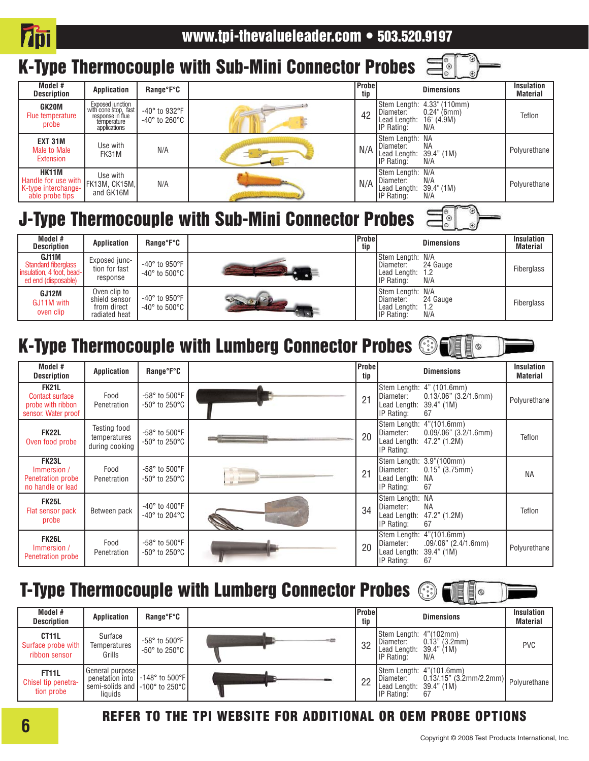

 $\circledcirc$ 

Ë

 $\circledcirc$ 

# K-Type Thermocouple with Sub-Mini Connector Probes



# J-Type Thermocouple with Sub-Mini Connector Probes

| Model #<br><b>Description</b>                                                           | <b>Application</b>                                            | Range°F°C                                                     | <b>IProbe</b><br>tip | <b>Dimensions</b>                                                                                   | <b>Insulation</b><br><b>Material</b> |
|-----------------------------------------------------------------------------------------|---------------------------------------------------------------|---------------------------------------------------------------|----------------------|-----------------------------------------------------------------------------------------------------|--------------------------------------|
| GJ11M<br><b>Standard fiberglass</b><br>insulation, 4 foot, bead-<br>ed end (disposable) | Exposed junc-<br>tion for fast<br>response                    | $-40^\circ$ to $950^\circ$ F<br>$-40^\circ$ to $500^\circ$ C  |                      | Stem Length: N/A<br>24 Gauge<br>IDiameter:<br>Lead Length:<br>1.2<br><b>IP</b> Rating:<br>N/A       | Fiberglass                           |
| GJ12M<br>GJ11M with<br>oven clip                                                        | Oven clip to<br>shield sensor<br>from direct<br>radiated heat | $-40^\circ$ to 950 $^\circ$ F<br>$-40^\circ$ to $500^\circ$ C |                      | <b>Stem Length: N/A</b><br>24 Gauge<br>Diameter:<br>Lead Length:<br>1.2<br><b>IP</b> Rating:<br>N/A | Fiberglass                           |

# K-Type Thermocouple with Lumberg Connector Probes **Settle**

| Model #<br><b>Description</b>                                                      | <b>Application</b>                                    | Range°F°C                                                      |    | Probe<br>tip | <b>Dimensions</b>                                                                                                        | <b>Insulation</b><br><b>Material</b> |
|------------------------------------------------------------------------------------|-------------------------------------------------------|----------------------------------------------------------------|----|--------------|--------------------------------------------------------------------------------------------------------------------------|--------------------------------------|
| <b>FK21L</b><br><b>Contact surface</b><br>probe with ribbon<br>sensor. Water proof | Food<br>Penetration                                   | -58° to 500°F<br>$-50^\circ$ to 250 $^\circ$ C                 |    | 21           | Stem Length: 4" (101.6mm)<br>$0.13/06$ " $(3.2/1.6$ mm)<br>Diameter:<br>Lead Length:<br>$39.4"$ (1M)<br>IP Rating:<br>67 | Polyurethane                         |
| <b>FK22L</b><br>Oven food probe                                                    | <b>Testing food</b><br>temperatures<br>during cooking | $-58^\circ$ to $500^\circ$ F<br>$-50^\circ$ to 250 $^\circ$ C  |    | 20           | Stem Length: 4"(101.6mm)<br>$0.09/06$ " $(3.2/1.6$ mm)<br>Diameter:<br>Lead Length: 47.2" (1.2M)<br>IP Rating:           | Teflon                               |
| <b>FK23L</b><br>Immersion /<br><b>Penetration probe</b><br>no handle or lead       | Food<br>Penetration                                   | $-58^\circ$ to $500^\circ$ F<br>$-50^\circ$ to 250 $^\circ$ C  | H. | 21           | Stem Length: 3.9"(100mm)<br>$0.15$ " (3.75mm)<br>Diameter:<br>Lead Length:<br>NA<br>67<br>IP Rating:                     | <b>NA</b>                            |
| <b>FK25L</b><br>Flat sensor pack<br>probe                                          | Between pack                                          | $-40^\circ$ to $400^\circ$ F<br>$-40^\circ$ to 204 $\degree$ C |    | 34           | Stem Length: NA<br><b>NA</b><br>Diameter:<br>Lead Length:<br>47.2" (1.2M)<br>IP Rating:<br>67                            | Teflon                               |
| <b>FK26L</b><br>Immersion /<br><b>Penetration probe</b>                            | Food<br>Penetration                                   | $-58^\circ$ to $500^\circ$ F<br>$-50^\circ$ to 250 $^\circ$ C  |    | 20           | Stem Length:<br>4" (101.6mm)<br>.09/.06" (2.4/1.6mm)<br>Diameter:<br>Lead Length:<br>39.4" (1M)<br>67<br>IP Rating:      | Polyurethane                         |

## T-Type Thermocouple with Lumberg Connector Probes  $\textcircled{\tiny{\textcircled{\tiny{\sf s}}}}$   $\textcircled{\tiny\textcircled{\tiny{\sf m}}}\textcircled{\tiny\textcircled{\tiny{\sf m}}}\textcircled{\tiny\textcircled{\tiny\sf m}}$

|                                                           |                                                                                                     |                                                               |       |                     | _____                                                                                                                                              |                                      |
|-----------------------------------------------------------|-----------------------------------------------------------------------------------------------------|---------------------------------------------------------------|-------|---------------------|----------------------------------------------------------------------------------------------------------------------------------------------------|--------------------------------------|
| Model #<br><b>Description</b>                             | Application                                                                                         | Range°F°C                                                     |       | <b>Probe</b><br>tip | <b>Dimensions</b>                                                                                                                                  | <b>Insulation</b><br><b>Material</b> |
| CT <sub>11</sub> L<br>Surface probe with<br>ribbon sensor | Surface<br>Temperatures<br>Grills                                                                   | $-58^\circ$ to $500^\circ$ F<br>$-50^\circ$ to 250 $^\circ$ C | $-35$ | 32                  | Stem Length: 4"(102mm)<br>$0.13$ " (3.2mm)<br>IDiameter:<br>Lead Length: $39.4$ " (1M)<br><b>IP</b> Rating:<br>N/A                                 | <b>PVC</b>                           |
| <b>FT11L</b><br>Chisel tip penetra-<br>tion probe         | General purpose<br>penetation into  -148° to 500°F <br>semi-solids and [-100° to 250°C].<br>liquids |                                                               |       | 22                  | Stem Length: 4"(101.6mm)<br>$0.13/15$ " (3.2mm/2.2mm)   Polyurethane $\sqrt{ }$<br>Diameter:<br>Lead Length: 39.4" (1M)<br><b>IP</b> Rating:<br>67 |                                      |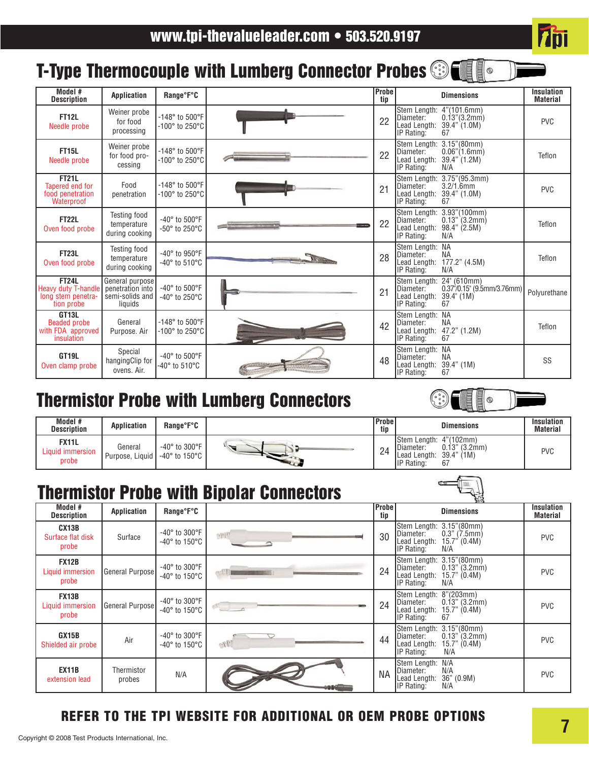# T-Type Thermocouple with Lumberg Connector Probes **Strate**

| Model #<br><b>Description</b>                                               | <b>Application</b>                                                | Range°F°C                                                           | Probe<br>tip |                                                         | <b>Dimensions</b>                                                                         | <b>Insulation</b><br><b>Material</b> |
|-----------------------------------------------------------------------------|-------------------------------------------------------------------|---------------------------------------------------------------------|--------------|---------------------------------------------------------|-------------------------------------------------------------------------------------------|--------------------------------------|
| <b>FT12L</b><br>Needle probe                                                | Weiner probe<br>for food<br>processing                            | -148° to 500°F<br>$-100^\circ$ to 250 $^\circ$ C                    | 22           | Stem Length:<br>Diameter:<br>Lead Length:<br>IP Rating: | 4" (101.6mm)<br>$0.13$ " $(3.2mm)$<br>39.4" (1.0M)<br>67                                  | <b>PVC</b>                           |
| <b>FT15L</b><br>Needle probe                                                | Weiner probe<br>for food pro-<br>cessing                          | -148° to 500°F<br>$-100^\circ$ to 250 $^\circ$ C                    | 22           | Stem Length:<br>Diameter:<br>Lead Length:<br>IP Rating: | 3.15''(80mm)<br>$0.06$ " $(1.6$ mm $)$<br>39.4" (1.2M)<br>N/A                             | Teflon                               |
| <b>FT21L</b><br>Tapered end for<br>food penetration<br>Waterproof           | Food<br>penetration                                               | $-148^{\circ}$ to $500^{\circ}$ F<br>$-100^\circ$ to 250 $^\circ$ C | 21           | Stem Length:<br>Diameter:<br>Lead Length:<br>IP Rating: | 3.75''(95.3mm)<br>$3.2/1.6$ mm<br>39.4" (1.0M)<br>67                                      | <b>PVC</b>                           |
| <b>FT22L</b><br>Oven food probe                                             | <b>Testing food</b><br>temperature<br>during cooking              | -40° to 500°F<br>$-50^\circ$ to 250 $^\circ$ C                      | 22           | Stem Length:<br>Diameter:<br>Lead Length:<br>IP Rating: | 3.93"(100mm)<br>$0.13$ " (3.2mm)<br>98.4" (2.5M)<br>N/A                                   | Teflon                               |
| <b>FT23L</b><br>Oven food probe                                             | Testing food<br>temperature<br>during cooking                     | -40° to 950°F<br>$-40^\circ$ to 510 $^\circ$ C                      | 28           | Stem Lenath:<br>Diameter:<br>Lead Length:<br>IP Rating: | <b>NA</b><br><b>NA</b><br>177.2" (4.5M)<br>N/A                                            | Teflon                               |
| <b>FT24L</b><br>Heavy duty T-handle<br>long stem penetra-<br>tion probe     | General purpose<br>penetration into<br>semi-solids and<br>liquids | -40° to 500°F<br>$-40^\circ$ to 250 $^\circ$ C                      | 21           | Diameter:<br>Lead Length:<br>IP Rating:                 | Stem Length: 24" (610mm)<br>$0.37^{1}/0.15$ " (9.5mm/3.76mm)<br>$39.4^{\circ}$ (1M)<br>67 | Polyurethane                         |
| GT <sub>13L</sub><br><b>Beaded probe</b><br>with FDA approved<br>insulation | General<br>Purpose, Air                                           | $-148^{\circ}$ to $500^{\circ}$ F<br>$-100^\circ$ to 250 $^\circ$ C | 42           | Stem Length:<br>Diameter:<br>Lead Length:<br>IP Rating: | <b>NA</b><br><b>NA</b><br>47.2" (1.2M)<br>67                                              | Teflon                               |
| GT <sub>19L</sub><br>Oven clamp probe                                       | Special<br>hangingClip for<br>ovens. Air.                         | -40° to 500°F<br>-40° to 510°C                                      | 48           | Stem Length:<br>Diameter:<br>Lead Length:<br>IP Rating: | <b>NA</b><br><b>NA</b><br>39.4" (1M)<br>67                                                | SS                                   |

# Thermistor Probe with Lumberg Connectors



**Thi** 

| Model #<br><b>Description</b>             | <b>Application</b>         | Range°F°C                                                        | <b>Probe</b><br>tip                      | <b>Dimensions</b>                                                                                                          | <b>Insulation</b><br><b>Material</b> |
|-------------------------------------------|----------------------------|------------------------------------------------------------------|------------------------------------------|----------------------------------------------------------------------------------------------------------------------------|--------------------------------------|
| <b>FX11L</b><br>Liquid immersion<br>probe | General<br>Purpose, Liquid | $-40^\circ$ to 300 $^\circ$ F<br>$-40^\circ$ to 150 $^\circ$ C + | $\bigcap$<br>$\mathcal{L}^{\mathcal{L}}$ | <b>IStem Length: 4"(102mm)</b><br>$0.13$ " (3.2mm)<br>Diameter:<br>$39.4"$ (1M)<br>Lead Length:<br><b>IP</b> Rating:<br>67 | <b>PVC</b>                           |

# Thermistor Probe with Bipolar Connectors

| Model #<br><b>Description</b>             | Application          | Range°F°C                                                      |       | <b>Probe</b><br>tip | <b>Dimensions</b>                                                                                                       | <b>Insulation</b><br><b>Material</b> |
|-------------------------------------------|----------------------|----------------------------------------------------------------|-------|---------------------|-------------------------------------------------------------------------------------------------------------------------|--------------------------------------|
| CX13B<br>Surface flat disk<br>probe       | Surface              | $-40^\circ$ to 300 $^\circ$ F<br>$-40^\circ$ to 150 $^\circ$ C | pitul | 30                  | $3.15$ " (80mm)<br>Stem Length:<br>$0.3"$ (7.5mm)<br>IDiameter:<br>Lead Length:<br>$15.7$ " (0.4M)<br>N/A<br>IP Rating: | <b>PVC</b>                           |
| <b>FX12B</b><br>Liquid immersion<br>probe | General Purpose      | $-40^\circ$ to 300 $^\circ$ F<br>$-40^\circ$ to 150 $^\circ$ C |       | 24                  | 3.15" (80mm)<br>Stem Length:<br>Diameter:<br>$0.13$ " (3.2mm)<br>15.7" $(0.4M)$<br>Lead Length:<br>IP Rating:<br>N/A    | <b>PVC</b>                           |
| <b>FX13B</b><br>Liquid immersion<br>probe | General Purpose      | $-40^\circ$ to 300 $^\circ$ F<br>$-40^\circ$ to 150 $^\circ$ C |       | 24                  | 8" (203mm)<br>Stem Length:<br>Diameter:<br>$0.13$ " (3.2mm)<br>Lead Length:<br>15.7" (0.4M)<br>67<br>IP Rating:         | <b>PVC</b>                           |
| GX15B<br>Shielded air probe               | Air                  | $-40^\circ$ to 300 $^\circ$ F<br>$-40^\circ$ to 150 $^\circ$ C | o:Til | 44                  | Stem Length: 3.15"(80mm)<br>$0.13$ " (3.2mm)<br>Diameter:<br>Lead Length:<br>15.7" (0.4M)<br>N/A<br>IP Rating:          | <b>PVC</b>                           |
| <b>EX11B</b><br>extension lead            | Thermistor<br>probes | N/A                                                            |       | <b>NA</b>           | N/A<br>Stem Length:<br>N/A<br><b>I</b> Diameter:<br>36" (0.9M)<br>Lead Length:<br>N/A<br>IP Rating:                     | <b>PVC</b>                           |